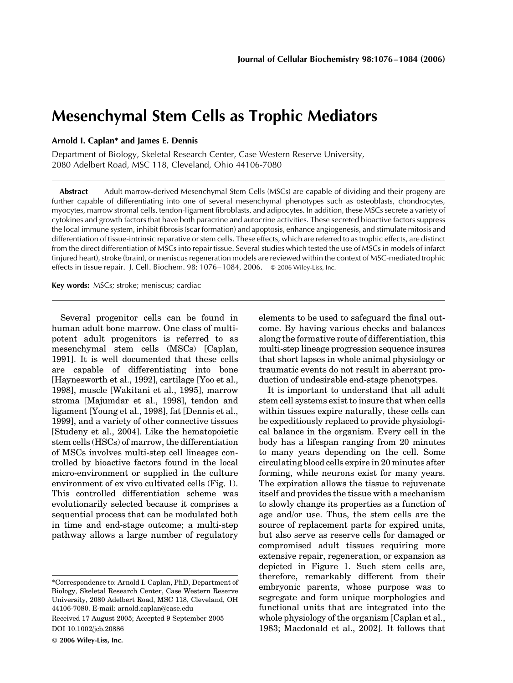# Mesenchymal Stem Cells as Trophic Mediators

### Arnold I. Caplan\* and James E. Dennis

Department of Biology, Skeletal Research Center, Case Western Reserve University, 2080 Adelbert Road, MSC 118, Cleveland, Ohio 44106-7080

Abstract Adult marrow-derived Mesenchymal Stem Cells (MSCs) are capable of dividing and their progeny are further capable of differentiating into one of several mesenchymal phenotypes such as osteoblasts, chondrocytes, myocytes, marrow stromal cells, tendon-ligament fibroblasts, and adipocytes. In addition, these MSCs secrete a variety of cytokines and growth factors that have both paracrine and autocrine activities. These secreted bioactive factors suppress the local immune system, inhibit fibrosis (scar formation) and apoptosis, enhance angiogenesis, and stimulate mitosis and differentiation of tissue-intrinsic reparative or stem cells. These effects, which are referred to as trophic effects, are distinct from the direct differentiation of MSCs into repair tissue. Several studies which tested the use of MSCs in models of infarct (injured heart), stroke (brain), or meniscus regeneration models are reviewed within the context of MSC-mediated trophic effects in tissue repair. J. Cell. Biochem. 98: 1076–1084, 2006. 2006 Wiley-Liss, Inc.

Key words: MSCs; stroke; meniscus; cardiac

Several progenitor cells can be found in human adult bone marrow. One class of multipotent adult progenitors is referred to as mesenchymal stem cells (MSCs) [Caplan, 1991]. It is well documented that these cells are capable of differentiating into bone [Haynesworth et al., 1992], cartilage [Yoo et al., 1998], muscle [Wakitani et al., 1995], marrow stroma [Majumdar et al., 1998], tendon and ligament [Young et al., 1998], fat [Dennis et al., 1999], and a variety of other connective tissues [Studeny et al., 2004]. Like the hematopoietic stem cells (HSCs) of marrow, the differentiation of MSCs involves multi-step cell lineages controlled by bioactive factors found in the local micro-environment or supplied in the culture environment of ex vivo cultivated cells (Fig. 1). This controlled differentiation scheme was evolutionarily selected because it comprises a sequential process that can be modulated both in time and end-stage outcome; a multi-step pathway allows a large number of regulatory

Received 17 August 2005; Accepted 9 September 2005 DOI 10.1002/jcb.20886

2006 Wiley-Liss, Inc.

elements to be used to safeguard the final outcome. By having various checks and balances along the formative route of differentiation, this multi-step lineage progression sequence insures that short lapses in whole animal physiology or traumatic events do not result in aberrant production of undesirable end-stage phenotypes.

It is important to understand that all adult stem cell systems exist to insure that when cells within tissues expire naturally, these cells can be expeditiously replaced to provide physiological balance in the organism. Every cell in the body has a lifespan ranging from 20 minutes to many years depending on the cell. Some circulating blood cells expire in 20 minutes after forming, while neurons exist for many years. The expiration allows the tissue to rejuvenate itself and provides the tissue with a mechanism to slowly change its properties as a function of age and/or use. Thus, the stem cells are the source of replacement parts for expired units, but also serve as reserve cells for damaged or compromised adult tissues requiring more extensive repair, regeneration, or expansion as depicted in Figure 1. Such stem cells are, therefore, remarkably different from their embryonic parents, whose purpose was to segregate and form unique morphologies and functional units that are integrated into the whole physiology of the organism [Caplan et al., 1983; Macdonald et al., 2002]. It follows that

<sup>\*</sup>Correspondence to: Arnold I. Caplan, PhD, Department of Biology, Skeletal Research Center, Case Western Reserve University, 2080 Adelbert Road, MSC 118, Cleveland, OH 44106-7080. E-mail: arnold.caplan@case.edu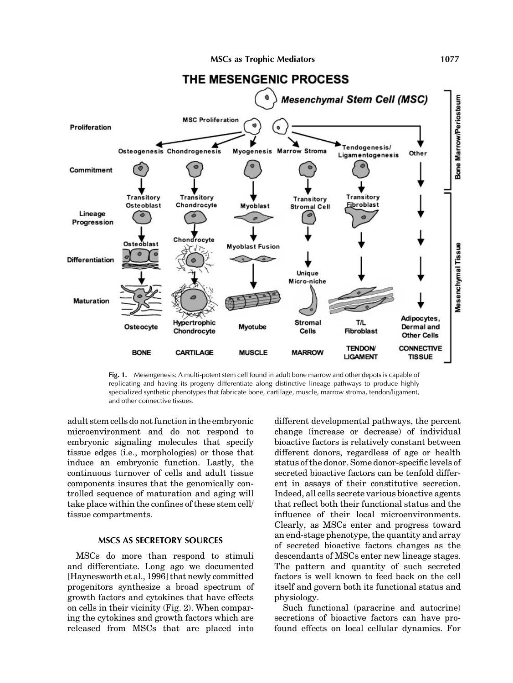

Fig. 1. Mesengenesis: A multi-potent stem cell found in adult bone marrow and other depots is capable of replicating and having its progeny differentiate along distinctive lineage pathways to produce highly specialized synthetic phenotypes that fabricate bone, cartilage, muscle, marrow stroma, tendon/ligament, and other connective tissues.

adult stem cells do not function in the embryonic microenvironment and do not respond to embryonic signaling molecules that specify tissue edges (i.e., morphologies) or those that induce an embryonic function. Lastly, the continuous turnover of cells and adult tissue components insures that the genomically controlled sequence of maturation and aging will take place within the confines of these stem cell/ tissue compartments.

# MSCS AS SECRETORY SOURCES

MSCs do more than respond to stimuli and differentiate. Long ago we documented [Haynesworth et al., 1996] that newly committed progenitors synthesize a broad spectrum of growth factors and cytokines that have effects on cells in their vicinity (Fig. 2). When comparing the cytokines and growth factors which are released from MSCs that are placed into different developmental pathways, the percent change (increase or decrease) of individual bioactive factors is relatively constant between different donors, regardless of age or health status of the donor. Some donor-specific levels of secreted bioactive factors can be tenfold different in assays of their constitutive secretion. Indeed, all cells secrete various bioactive agents that reflect both their functional status and the influence of their local microenvironments. Clearly, as MSCs enter and progress toward an end-stage phenotype, the quantity and array of secreted bioactive factors changes as the descendants of MSCs enter new lineage stages. The pattern and quantity of such secreted factors is well known to feed back on the cell itself and govern both its functional status and physiology.

Such functional (paracrine and autocrine) secretions of bioactive factors can have profound effects on local cellular dynamics. For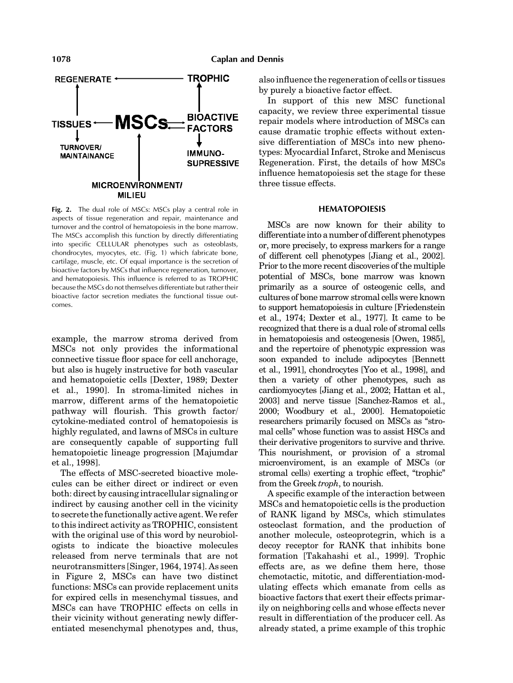1078 Caplan and Dennis



Fig. 2. The dual role of MSCs: MSCs play a central role in aspects of tissue regeneration and repair, maintenance and turnover and the control of hematopoiesis in the bone marrow. The MSCs accomplish this function by directly differentiating into specific CELLULAR phenotypes such as osteoblasts, chondrocytes, myocytes, etc. (Fig. 1) which fabricate bone, cartilage, muscle, etc. Of equal importance is the secretion of bioactive factors by MSCs that influence regeneration, turnover, and hematopoiesis. This influence is referred to as TROPHIC because the MSCs do not themselves differentiate but rather their bioactive factor secretion mediates the functional tissue outcomes.

example, the marrow stroma derived from MSCs not only provides the informational connective tissue floor space for cell anchorage, but also is hugely instructive for both vascular and hematopoietic cells [Dexter, 1989; Dexter et al., 1990]. In stroma-limited niches in marrow, different arms of the hematopoietic pathway will flourish. This growth factor/ cytokine-mediated control of hematopoiesis is highly regulated, and lawns of MSCs in culture are consequently capable of supporting full hematopoietic lineage progression [Majumdar et al., 1998].

The effects of MSC-secreted bioactive molecules can be either direct or indirect or even both: direct by causing intracellular signaling or indirect by causing another cell in the vicinity to secrete the functionally active agent.We refer to this indirect activity as TROPHIC, consistent with the original use of this word by neurobiologists to indicate the bioactive molecules released from nerve terminals that are not neurotransmitters [Singer, 1964, 1974]. As seen in Figure 2, MSCs can have two distinct functions: MSCs can provide replacement units for expired cells in mesenchymal tissues, and MSCs can have TROPHIC effects on cells in their vicinity without generating newly differentiated mesenchymal phenotypes and, thus,

also influence the regeneration of cells or tissues by purely a bioactive factor effect.

In support of this new MSC functional capacity, we review three experimental tissue repair models where introduction of MSCs can cause dramatic trophic effects without extensive differentiation of MSCs into new phenotypes: Myocardial Infarct, Stroke and Meniscus Regeneration. First, the details of how MSCs influence hematopoiesis set the stage for these three tissue effects.

#### HEMATOPOIESIS

MSCs are now known for their ability to differentiate into a number of different phenotypes or, more precisely, to express markers for a range of different cell phenotypes [Jiang et al., 2002]. Prior to the more recent discoveries of the multiple potential of MSCs, bone marrow was known primarily as a source of osteogenic cells, and cultures of bone marrow stromal cells were known to support hematopoiesis in culture [Friedenstein et al., 1974; Dexter et al., 1977]. It came to be recognized that there is a dual role of stromal cells in hematopoiesis and osteogenesis [Owen, 1985], and the repertoire of phenotypic expression was soon expanded to include adipocytes [Bennett et al., 1991], chondrocytes [Yoo et al., 1998], and then a variety of other phenotypes, such as cardiomyocytes [Jiang et al., 2002; Hattan et al., 2003] and nerve tissue [Sanchez-Ramos et al., 2000; Woodbury et al., 2000]. Hematopoietic researchers primarily focused on MSCs as ''stromal cells'' whose function was to assist HSCs and their derivative progenitors to survive and thrive. This nourishment, or provision of a stromal microenviroment, is an example of MSCs (or stromal cells) exerting a trophic effect, "trophic" from the Greek troph, to nourish.

A specific example of the interaction between MSCs and hematopoietic cells is the production of RANK ligand by MSCs, which stimulates osteoclast formation, and the production of another molecule, osteoprotegrin, which is a decoy receptor for RANK that inhibits bone formation [Takahashi et al., 1999]. Trophic effects are, as we define them here, those chemotactic, mitotic, and differentiation-modulating effects which emanate from cells as bioactive factors that exert their effects primarily on neighboring cells and whose effects never result in differentiation of the producer cell. As already stated, a prime example of this trophic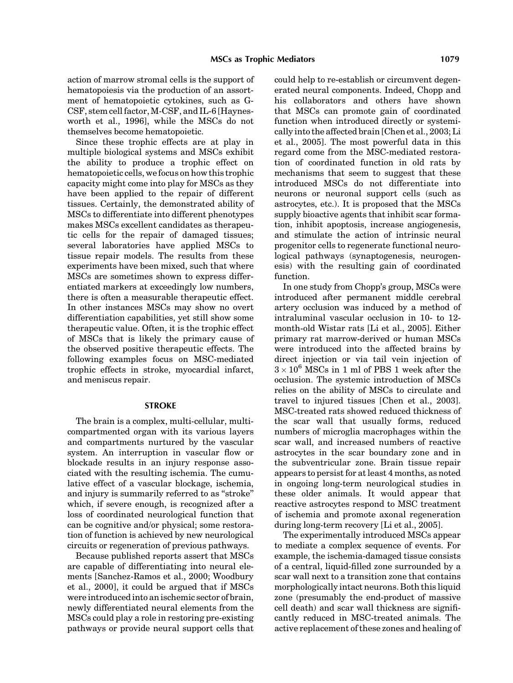action of marrow stromal cells is the support of hematopoiesis via the production of an assortment of hematopoietic cytokines, such as G-CSF, stem cell factor,M-CSF, and IL-6 [Haynesworth et al., 1996], while the MSCs do not themselves become hematopoietic.

Since these trophic effects are at play in multiple biological systems and MSCs exhibit the ability to produce a trophic effect on hematopoietic cells, we focus on how this trophic capacity might come into play for MSCs as they have been applied to the repair of different tissues. Certainly, the demonstrated ability of MSCs to differentiate into different phenotypes makes MSCs excellent candidates as therapeutic cells for the repair of damaged tissues; several laboratories have applied MSCs to tissue repair models. The results from these experiments have been mixed, such that where MSCs are sometimes shown to express differentiated markers at exceedingly low numbers, there is often a measurable therapeutic effect. In other instances MSCs may show no overt differentiation capabilities, yet still show some therapeutic value. Often, it is the trophic effect of MSCs that is likely the primary cause of the observed positive therapeutic effects. The following examples focus on MSC-mediated trophic effects in stroke, myocardial infarct, and meniscus repair.

#### **STROKE**

The brain is a complex, multi-cellular, multicompartmented organ with its various layers and compartments nurtured by the vascular system. An interruption in vascular flow or blockade results in an injury response associated with the resulting ischemia. The cumulative effect of a vascular blockage, ischemia, and injury is summarily referred to as ''stroke'' which, if severe enough, is recognized after a loss of coordinated neurological function that can be cognitive and/or physical; some restoration of function is achieved by new neurological circuits or regeneration of previous pathways.

Because published reports assert that MSCs are capable of differentiating into neural elements [Sanchez-Ramos et al., 2000; Woodbury et al., 2000], it could be argued that if MSCs were introduced into an ischemic sector of brain, newly differentiated neural elements from the MSCs could play a role in restoring pre-existing pathways or provide neural support cells that

could help to re-establish or circumvent degenerated neural components. Indeed, Chopp and his collaborators and others have shown that MSCs can promote gain of coordinated function when introduced directly or systemically into the affected brain [Chen et al., 2003; Li et al., 2005]. The most powerful data in this regard come from the MSC-mediated restoration of coordinated function in old rats by mechanisms that seem to suggest that these introduced MSCs do not differentiate into neurons or neuronal support cells (such as astrocytes, etc.). It is proposed that the MSCs supply bioactive agents that inhibit scar formation, inhibit apoptosis, increase angiogenesis, and stimulate the action of intrinsic neural progenitor cells to regenerate functional neurological pathways (synaptogenesis, neurogenesis) with the resulting gain of coordinated function.

In one study from Chopp's group, MSCs were introduced after permanent middle cerebral artery occlusion was induced by a method of intraluminal vascular occlusion in 10- to 12 month-old Wistar rats [Li et al., 2005]. Either primary rat marrow-derived or human MSCs were introduced into the affected brains by direct injection or via tail vein injection of  $3\times 10^6$  MSCs in 1 ml of PBS 1 week after the occlusion. The systemic introduction of MSCs relies on the ability of MSCs to circulate and travel to injured tissues [Chen et al., 2003]. MSC-treated rats showed reduced thickness of the scar wall that usually forms, reduced numbers of microglia macrophages within the scar wall, and increased numbers of reactive astrocytes in the scar boundary zone and in the subventricular zone. Brain tissue repair appears to persist for at least 4 months, as noted in ongoing long-term neurological studies in these older animals. It would appear that reactive astrocytes respond to MSC treatment of ischemia and promote axonal regeneration during long-term recovery [Li et al., 2005].

The experimentally introduced MSCs appear to mediate a complex sequence of events. For example, the ischemia-damaged tissue consists of a central, liquid-filled zone surrounded by a scar wall next to a transition zone that contains morphologically intact neurons. Both this liquid zone (presumably the end-product of massive cell death) and scar wall thickness are significantly reduced in MSC-treated animals. The active replacement of these zones and healing of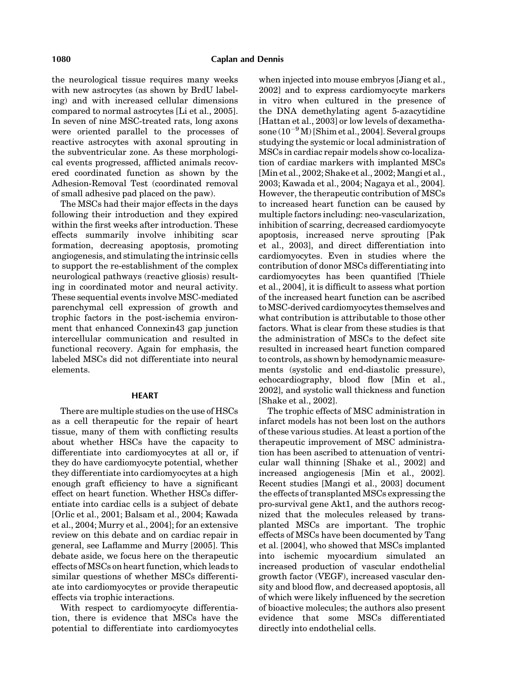the neurological tissue requires many weeks with new astrocytes (as shown by BrdU labeling) and with increased cellular dimensions compared to normal astrocytes [Li et al., 2005]. In seven of nine MSC-treated rats, long axons were oriented parallel to the processes of reactive astrocytes with axonal sprouting in the subventricular zone. As these morphological events progressed, afflicted animals recovered coordinated function as shown by the Adhesion-Removal Test (coordinated removal of small adhesive pad placed on the paw).

The MSCs had their major effects in the days following their introduction and they expired within the first weeks after introduction. These effects summarily involve inhibiting scar formation, decreasing apoptosis, promoting angiogenesis, and stimulating the intrinsic cells to support the re-establishment of the complex neurological pathways (reactive gliosis) resulting in coordinated motor and neural activity. These sequential events involve MSC-mediated parenchymal cell expression of growth and trophic factors in the post-ischemia environment that enhanced Connexin43 gap junction intercellular communication and resulted in functional recovery. Again for emphasis, the labeled MSCs did not differentiate into neural elements.

#### HEART

There are multiple studies on the use of HSCs as a cell therapeutic for the repair of heart tissue, many of them with conflicting results about whether HSCs have the capacity to differentiate into cardiomyocytes at all or, if they do have cardiomyocyte potential, whether they differentiate into cardiomyocytes at a high enough graft efficiency to have a significant effect on heart function. Whether HSCs differentiate into cardiac cells is a subject of debate [Orlic et al., 2001; Balsam et al., 2004; Kawada et al., 2004; Murry et al., 2004]; for an extensive review on this debate and on cardiac repair in general, see Laflamme and Murry [2005]. This debate aside, we focus here on the therapeutic effects ofMSCs on heart function, which leads to similar questions of whether MSCs differentiate into cardiomyocytes or provide therapeutic effects via trophic interactions.

With respect to cardiomyocyte differentiation, there is evidence that MSCs have the potential to differentiate into cardiomyocytes

when injected into mouse embryos [Jiang et al., 2002] and to express cardiomyocyte markers in vitro when cultured in the presence of the DNA demethylating agent 5-azacytidine [Hattan et al., 2003] or low levels of dexametha- $\rm{some}\,(10^{-9}\,M)$  [Shim et al., 2004]. Several groups studying the systemic or local administration of MSCs in cardiac repair models show co-localization of cardiac markers with implanted MSCs [Min et al., 2002; Shake et al., 2002; Mangi et al., 2003; Kawada et al., 2004; Nagaya et al., 2004]. However, the therapeutic contribution of MSCs to increased heart function can be caused by multiple factors including: neo-vascularization, inhibition of scarring, decreased cardiomyocyte apoptosis, increased nerve sprouting [Pak et al., 2003], and direct differentiation into cardiomyocytes. Even in studies where the contribution of donor MSCs differentiating into cardiomyocytes has been quantified [Thiele et al., 2004], it is difficult to assess what portion of the increased heart function can be ascribed toMSC-derived cardiomyocytes themselves and what contribution is attributable to those other factors. What is clear from these studies is that the administration of MSCs to the defect site resulted in increased heart function compared to controls, as shown by hemodynamic measurements (systolic and end-diastolic pressure), echocardiography, blood flow [Min et al., 2002], and systolic wall thickness and function [Shake et al., 2002].

The trophic effects of MSC administration in infarct models has not been lost on the authors of these various studies. At least a portion of the therapeutic improvement of MSC administration has been ascribed to attenuation of ventricular wall thinning [Shake et al., 2002] and increased angiogenesis [Min et al., 2002]. Recent studies [Mangi et al., 2003] document the effects of transplanted MSCs expressing the pro-survival gene Akt1, and the authors recognized that the molecules released by transplanted MSCs are important. The trophic effects of MSCs have been documented by Tang et al. [2004], who showed that MSCs implanted into ischemic myocardium simulated an increased production of vascular endothelial growth factor (VEGF), increased vascular density and blood flow, and decreased apoptosis, all of which were likely influenced by the secretion of bioactive molecules; the authors also present evidence that some MSCs differentiated directly into endothelial cells.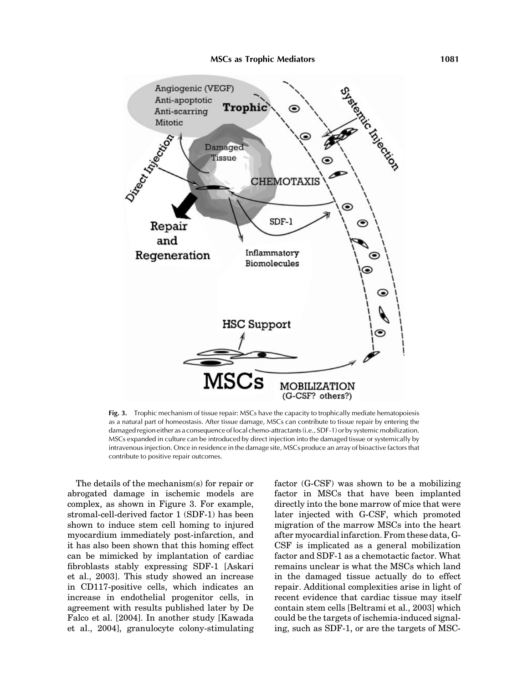

Fig. 3. Trophic mechanism of tissue repair: MSCs have the capacity to trophically mediate hematopoiesis as a natural part of homeostasis. After tissue damage, MSCs can contribute to tissue repair by entering the damaged region either as a consequence of local chemo-attractants (i.e., SDF-1) or by systemic mobilization. MSCs expanded in culture can be introduced by direct injection into the damaged tissue or systemically by intravenous injection. Once in residence in the damage site, MSCs produce an array of bioactive factors that contribute to positive repair outcomes.

The details of the mechanism(s) for repair or abrogated damage in ischemic models are complex, as shown in Figure 3. For example, stromal-cell-derived factor 1 (SDF-1) has been shown to induce stem cell homing to injured myocardium immediately post-infarction, and it has also been shown that this homing effect can be mimicked by implantation of cardiac fibroblasts stably expressing SDF-1 [Askari et al., 2003]. This study showed an increase in CD117-positive cells, which indicates an increase in endothelial progenitor cells, in agreement with results published later by De Falco et al. [2004]. In another study [Kawada et al., 2004], granulocyte colony-stimulating

factor (G-CSF) was shown to be a mobilizing factor in MSCs that have been implanted directly into the bone marrow of mice that were later injected with G-CSF, which promoted migration of the marrow MSCs into the heart after myocardial infarction. From these data, G-CSF is implicated as a general mobilization factor and SDF-1 as a chemotactic factor. What remains unclear is what the MSCs which land in the damaged tissue actually do to effect repair. Additional complexities arise in light of recent evidence that cardiac tissue may itself contain stem cells [Beltrami et al., 2003] which could be the targets of ischemia-induced signaling, such as SDF-1, or are the targets of MSC-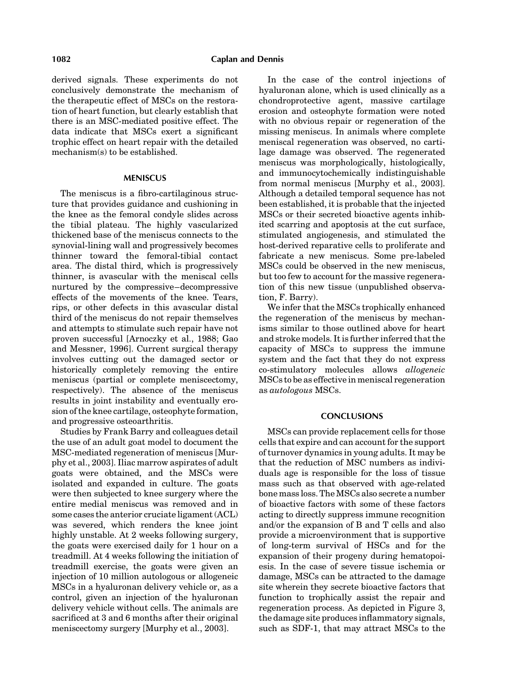derived signals. These experiments do not conclusively demonstrate the mechanism of the therapeutic effect of MSCs on the restoration of heart function, but clearly establish that there is an MSC-mediated positive effect. The data indicate that MSCs exert a significant trophic effect on heart repair with the detailed mechanism(s) to be established.

# **MENISCUS**

The meniscus is a fibro-cartilaginous structure that provides guidance and cushioning in the knee as the femoral condyle slides across the tibial plateau. The highly vascularized thickened base of the meniscus connects to the synovial-lining wall and progressively becomes thinner toward the femoral-tibial contact area. The distal third, which is progressively thinner, is avascular with the meniscal cells nurtured by the compressive–decompressive effects of the movements of the knee. Tears, rips, or other defects in this avascular distal third of the meniscus do not repair themselves and attempts to stimulate such repair have not proven successful [Arnoczky et al., 1988; Gao and Messner, 1996]. Current surgical therapy involves cutting out the damaged sector or historically completely removing the entire meniscus (partial or complete meniscectomy, respectively). The absence of the meniscus results in joint instability and eventually erosion of the knee cartilage, osteophyte formation, and progressive osteoarthritis.

Studies by Frank Barry and colleagues detail the use of an adult goat model to document the MSC-mediated regeneration of meniscus [Murphy et al., 2003]. Iliac marrow aspirates of adult goats were obtained, and the MSCs were isolated and expanded in culture. The goats were then subjected to knee surgery where the entire medial meniscus was removed and in some cases the anterior cruciate ligament (ACL) was severed, which renders the knee joint highly unstable. At 2 weeks following surgery, the goats were exercised daily for 1 hour on a treadmill. At 4 weeks following the initiation of treadmill exercise, the goats were given an injection of 10 million autologous or allogeneic MSCs in a hyaluronan delivery vehicle or, as a control, given an injection of the hyaluronan delivery vehicle without cells. The animals are sacrificed at 3 and 6 months after their original meniscectomy surgery [Murphy et al., 2003].

In the case of the control injections of hyaluronan alone, which is used clinically as a chondroprotective agent, massive cartilage erosion and osteophyte formation were noted with no obvious repair or regeneration of the missing meniscus. In animals where complete meniscal regeneration was observed, no cartilage damage was observed. The regenerated meniscus was morphologically, histologically, and immunocytochemically indistinguishable from normal meniscus [Murphy et al., 2003]. Although a detailed temporal sequence has not been established, it is probable that the injected MSCs or their secreted bioactive agents inhibited scarring and apoptosis at the cut surface, stimulated angiogenesis, and stimulated the host-derived reparative cells to proliferate and fabricate a new meniscus. Some pre-labeled MSCs could be observed in the new meniscus, but too few to account for the massive regeneration of this new tissue (unpublished observation, F. Barry).

We infer that the MSCs trophically enhanced the regeneration of the meniscus by mechanisms similar to those outlined above for heart and stroke models. It is further inferred that the capacity of MSCs to suppress the immune system and the fact that they do not express co-stimulatory molecules allows allogeneic MSCs to be as effective in meniscal regeneration as autologous MSCs.

#### **CONCLUSIONS**

MSCs can provide replacement cells for those cells that expire and can account for the support of turnover dynamics in young adults. It may be that the reduction of MSC numbers as individuals age is responsible for the loss of tissue mass such as that observed with age-related bone mass loss. The MSCs also secrete a number of bioactive factors with some of these factors acting to directly suppress immune recognition and/or the expansion of B and T cells and also provide a microenvironment that is supportive of long-term survival of HSCs and for the expansion of their progeny during hematopoiesis. In the case of severe tissue ischemia or damage, MSCs can be attracted to the damage site wherein they secrete bioactive factors that function to trophically assist the repair and regeneration process. As depicted in Figure 3, the damage site produces inflammatory signals, such as SDF-1, that may attract MSCs to the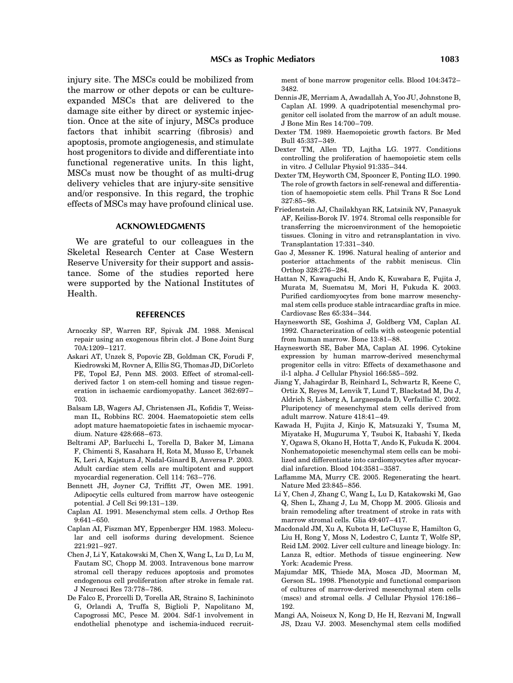injury site. The MSCs could be mobilized from the marrow or other depots or can be cultureexpanded MSCs that are delivered to the damage site either by direct or systemic injection. Once at the site of injury, MSCs produce factors that inhibit scarring (fibrosis) and apoptosis, promote angiogenesis, and stimulate host progenitors to divide and differentiate into functional regenerative units. In this light, MSCs must now be thought of as multi-drug delivery vehicles that are injury-site sensitive and/or responsive. In this regard, the trophic effects of MSCs may have profound clinical use.

# ACKNOWLEDGMENTS

We are grateful to our colleagues in the Skeletal Research Center at Case Western Reserve University for their support and assistance. Some of the studies reported here were supported by the National Institutes of Health.

#### REFERENCES

- Arnoczky SP, Warren RF, Spivak JM. 1988. Meniscal repair using an exogenous fibrin clot. J Bone Joint Surg 70A:1209–1217.
- Askari AT, Unzek S, Popovic ZB, Goldman CK, Forudi F, Kiedrowski M, Rovner A, Ellis SG, Thomas JD, DiCorleto PE, Topol EJ, Penn MS. 2003. Effect of stromal-cellderived factor 1 on stem-cell homing and tissue regeneration in ischaemic cardiomyopathy. Lancet 362:697– 703.
- Balsam LB, Wagers AJ, Christensen JL, Kofidis T, Weissman IL, Robbins RC. 2004. Haematopoietic stem cells adopt mature haematopoietic fates in ischaemic myocardium. Nature 428:668–673.
- Beltrami AP, Barlucchi L, Torella D, Baker M, Limana F, Chimenti S, Kasahara H, Rota M, Musso E, Urbanek K, Leri A, Kajstura J, Nadal-Ginard B, Anversa P. 2003. Adult cardiac stem cells are multipotent and support myocardial regeneration. Cell 114: 763–776.
- Bennett JH, Joyner CJ, Triffitt JT, Owen ME. 1991. Adipocytic cells cultured from marrow have osteogenic potential. J Cell Sci 99:131–139.
- Caplan AI. 1991. Mesenchymal stem cells. J Orthop Res 9:641–650.
- Caplan AI, Fiszman MY, Eppenberger HM. 1983. Molecular and cell isoforms during development. Science 221:921–927.
- Chen J, Li Y, Katakowski M, Chen X, Wang L, Lu D, Lu M, Fautam SC, Chopp M. 2003. Intravenous bone marrow stromal cell therapy reduces apoptosis and promotes endogenous cell proliferation after stroke in female rat. J Neurosci Res 73:778–786.
- De Falco E, Prorcelli D, Torella AR, Straino S, Iachininoto G, Orlandi A, Truffa S, Biglioli P, Napolitano M, Capogrossi MC, Pesce M. 2004. Sdf-1 involvement in endothelial phenotype and ischemia-induced recruit-

ment of bone marrow progenitor cells. Blood 104:3472– 3482.

- Dennis JE, Merriam A, Awadallah A, Yoo JU, Johnstone B, Caplan AI. 1999. A quadripotential mesenchymal progenitor cell isolated from the marrow of an adult mouse. J Bone Min Res 14:700–709.
- Dexter TM. 1989. Haemopoietic growth factors. Br Med Bull 45:337–349.
- Dexter TM, Allen TD, Lajtha LG. 1977. Conditions controlling the proliferation of haemopoietic stem cells in vitro. J Cellular Physiol 91:335–344.
- Dexter TM, Heyworth CM, Spooncer E, Ponting ILO. 1990. The role of growth factors in self-renewal and differentiation of haemopoietic stem cells. Phil Trans R Soc Lond 327:85–98.
- Friedenstein AJ, Chailakhyan RK, Latsinik NV, Panasyuk AF, Keiliss-Borok IV. 1974. Stromal cells responsible for transferring the microenvironment of the hemopoietic tissues. Cloning in vitro and retransplantation in vivo. Transplantation 17:331–340.
- Gao J, Messner K. 1996. Natural healing of anterior and posterior attachments of the rabbit meniscus. Clin Orthop 328:276–284.
- Hattan N, Kawaguchi H, Ando K, Kuwabara E, Fujita J, Murata M, Suematsu M, Mori H, Fukuda K. 2003. Purified cardiomyocytes from bone marrow mesenchymal stem cells produce stable intracardiac grafts in mice. Cardiovasc Res 65:334–344.
- Haynesworth SE, Goshima J, Goldberg VM, Caplan AI. 1992. Characterization of cells with osteogenic potential from human marrow. Bone 13:81–88.
- Haynesworth SE, Baber MA, Caplan AI. 1996. Cytokine expression by human marrow-derived mesenchymal progenitor cells in vitro: Effects of dexamethasone and il-1 alpha. J Cellular Physiol 166:585–592.
- Jiang Y, Jahagirdar B, Reinhard L, Schwartz R, Keene C, Ortiz X, Reyes M, Lenvik T, Lund T, Blackstad M, Du J, Aldrich S, Lisberg A, Largaespada D, Verfaillie C. 2002. Pluripotency of mesenchymal stem cells derived from adult marrow. Nature 418:41–49.
- Kawada H, Fujita J, Kinjo K, Matsuzaki Y, Tsuma M, Miyatake H, Muguruma Y, Tsuboi K, Itabashi Y, Ikeda Y, Ogawa S, Okano H, Hotta T, Ando K, Fukuda K. 2004. Nonhematopoietic mesenchymal stem cells can be mobilized and differentiate into cardiomyocytes after myocardial infarction. Blood 104:3581–3587.
- Laflamme MA, Murry CE. 2005. Regenerating the heart. Nature Med 23:845–856.
- Li Y, Chen J, Zhang C, Wang L, Lu D, Katakowski M, Gao Q, Shen L, Zhang J, Lu M, Chopp M. 2005. Gliosis and brain remodeling after treatment of stroke in rats with marrow stromal cells. Glia 49:407–417.
- Macdonald JM, Xu A, Kubota H, LeCluyse E, Hamilton G, Liu H, Rong Y, Moss N, Lodestro C, Luntz T, Wolfe SP, Reid LM. 2002. Liver cell culture and lineage biology. In: Lanza R, edtior. Methods of tissue engineering. New York: Academic Press.
- Majumdar MK, Thiede MA, Mosca JD, Moorman M, Gerson SL. 1998. Phenotypic and functional comparison of cultures of marrow-derived mesenchymal stem cells (mscs) and stromal cells. J Cellular Physiol 176:186– 192.
- Mangi AA, Noiseux N, Kong D, He H, Rezvani M, Ingwall JS, Dzau VJ. 2003. Mesenchymal stem cells modified